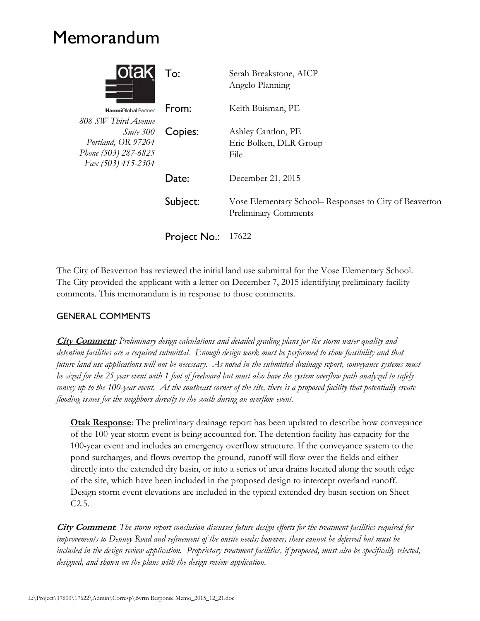## Memorandum

| <b>lOTAK</b>                                                                                         | To:                 | Serah Breakstone, AICP<br>Angelo Planning                                      |
|------------------------------------------------------------------------------------------------------|---------------------|--------------------------------------------------------------------------------|
| <b>Hanmi</b> Global Partner                                                                          | From:               | Keith Buisman, PE                                                              |
| 808 SW Third Avenue<br>Suite 300<br>Portland, OR 97204<br>Phone (503) 287-6825<br>Fax (503) 415-2304 | Copies:             | Ashley Cantlon, PE<br>Eric Bolken, DLR Group<br>File                           |
|                                                                                                      | Date:               | December 21, 2015                                                              |
|                                                                                                      | Subject:            | Vose Elementary School– Responses to City of Beaverton<br>Preliminary Comments |
|                                                                                                      | <b>Project No.:</b> | 17622                                                                          |

The City of Beaverton has reviewed the initial land use submittal for the Vose Elementary School. The City provided the applicant with a letter on December 7, 2015 identifying preliminary facility comments. This memorandum is in response to those comments.

## GENERAL COMMENTS

**City Comment***: Preliminary design calculations and detailed grading plans for the storm water quality and detention facilities are a required submittal. Enough design work must be performed to show feasibility and that future land use applications will not be necessary. As noted in the submitted drainage report, conveyance systems must be sized for the 25 year event with 1 foot of freeboard but must also have the system overflow path analyzed to safely convey up to the 100-year event. At the southeast corner of the site, there is a proposed facility that potentially create flooding issues for the neighbors directly to the south during an overflow event.*

**Otak Response**: The preliminary drainage report has been updated to describe how conveyance of the 100-year storm event is being accounted for. The detention facility has capacity for the 100-year event and includes an emergency overflow structure. If the conveyance system to the pond surcharges, and flows overtop the ground, runoff will flow over the fields and either directly into the extended dry basin, or into a series of area drains located along the south edge of the site, which have been included in the proposed design to intercept overland runoff. Design storm event elevations are included in the typical extended dry basin section on Sheet C2.5.

**City Comment**: *The storm report conclusion discusses future design efforts for the treatment facilities required for improvements to Denney Road and refinement of the onsite needs; however, these cannot be deferred but must be included in the design review application. Proprietary treatment facilities, if proposed, must also be specifically selected, designed, and shown on the plans with the design review application.*